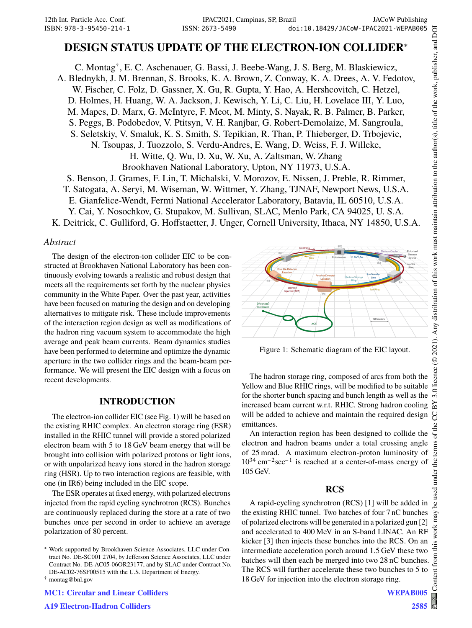# **DESIGN STATUS UPDATE OF THE ELECTRON-ION COLLIDER**<sup>∗</sup>

C. Montag† , E. C. Aschenauer, G. Bassi, J. Beebe-Wang, J. S. Berg, M. Blaskiewicz, A. Blednykh, J. M. Brennan, S. Brooks, K. A. Brown, Z. Conway, K. A. Drees, A. V. Fedotov, W. Fischer, C. Folz, D. Gassner, X. Gu, R. Gupta, Y. Hao, A. Hershcovitch, C. Hetzel, D. Holmes, H. Huang, W. A. Jackson, J. Kewisch, Y. Li, C. Liu, H. Lovelace III, Y. Luo, M. Mapes, D. Marx, G. McIntyre, F. Meot, M. Minty, S. Nayak, R. B. Palmer, B. Parker, S. Peggs, B. Podobedov, V. Ptitsyn, V. H. Ranjbar, G. Robert-Demolaize, M. Sangroula, S. Seletskiy, V. Smaluk, K. S. Smith, S. Tepikian, R. Than, P. Thieberger, D. Trbojevic, N. Tsoupas, J. Tuozzolo, S. Verdu-Andres, E. Wang, D. Weiss, F. J. Willeke, H. Witte, Q. Wu, D. Xu, W. Xu, A. Zaltsman, W. Zhang Brookhaven National Laboratory, Upton, NY 11973, U.S.A. S. Benson, J. Grames, F. Lin, T. Michalski, V. Morozov, E. Nissen, J. Preble, R. Rimmer, T. Satogata, A. Seryi, M. Wiseman, W. Wittmer, Y. Zhang, TJNAF, Newport News, U.S.A. E. Gianfelice-Wendt, Fermi National Accelerator Laboratory, Batavia, IL 60510, U.S.A. Y. Cai, Y. Nosochkov, G. Stupakov, M. Sullivan, SLAC, Menlo Park, CA 94025, U. S.A.

K. Deitrick, C. Gulliford, G. Hoffstaetter, J. Unger, Cornell University, Ithaca, NY 14850, U.S.A.

### *Abstract*

The design of the electron-ion collider EIC to be constructed at Brookhaven National Laboratory has been continuously evolving towards a realistic and robust design that meets all the requirements set forth by the nuclear physics community in the White Paper. Over the past year, activities have been focused on maturing the design and on developing alternatives to mitigate risk. These include improvements of the interaction region design as well as modifications of the hadron ring vacuum system to accommodate the high average and peak beam currents. Beam dynamics studies have been performed to determine and optimize the dynamic aperture in the two collider rings and the beam-beam performance. We will present the EIC design with a focus on recent developments.

## **INTRODUCTION**

The electron-ion collider EIC (see Fig. 1) will be based on the existing RHIC complex. An electron storage ring (ESR) installed in the RHIC tunnel will provide a stored polarized electron beam with 5 to 18 GeV beam energy that will be brought into collision with polarized protons or light ions, or with unpolarized heavy ions stored in the hadron storage ring (HSR). Up to two interaction regions are feasible, with one (in IR6) being included in the EIC scope.

The ESR operates at fixed energy, with polarized electrons injected from the rapid cycling synchrotron (RCS). Bunches are continuously replaced during the store at a rate of two bunches once per second in order to achieve an average polarization of 80 percent.



Figure 1: Schematic diagram of the EIC layout.

The hadron storage ring, composed of arcs from both the Yellow and Blue RHIC rings, will be modified to be suitable for the shorter bunch spacing and bunch length as well as the increased beam current w.r.t. RHIC. Strong hadron cooling will be added to achieve and maintain the required design emittances.

An interaction region has been designed to collide the electron and hadron beams under a total crossing angle of 25 mrad. A maximum electron-proton luminosity of  $10^{34}$  cm<sup>-2</sup>sec<sup>-1</sup> is reached at a center-of-mass energy of 105 GeV.

## **RCS**

A rapid-cycling synchrotron (RCS) [1] will be added in the existing RHIC tunnel. Two batches of four 7 nC bunches of polarized electrons will be generated in a polarized gun [2] and accelerated to 400 MeV in an S-band LINAC. An RF kicker [3] then injects these bunches into the RCS. On an intermediate acceleration porch around 1.5 GeV these two batches will then each be merged into two 28 nC bunches. The RCS will further accelerate these two bunches to 5 to 18 GeV for injection into the electron storage ring.

<sup>∗</sup> Work supported by Brookhaven Science Associates, LLC under Contract No. DE-SC001 2704, by Jefferson Science Associates, LLC under Contract No. DE-AC05-06OR23177, and by SLAC under Contract No. DE-AC02-76SF00515 with the U.S. Department of Energy.

<sup>†</sup> montag@bnl.gov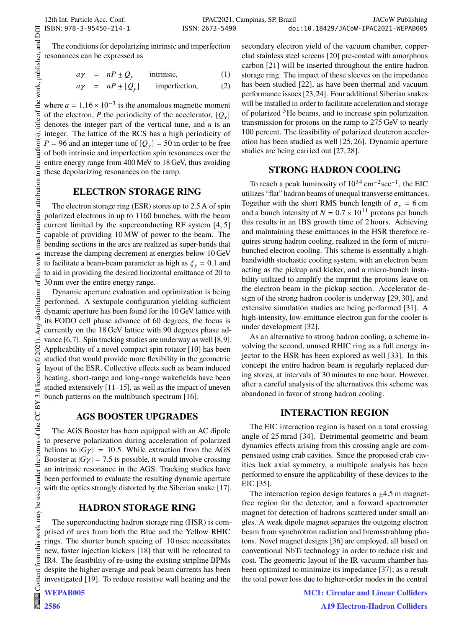DOI

of the work, publisher, and

title

author(s).

to the

maintain attribution

must work

Any distribution of this

2021).  $\odot$ 

of the CC BY 3.0 licence

terms

under the

this work may be used

from

The conditions for depolarizing intrinsic and imperfection resonances can be expressed as

$$
a\gamma = nP \pm Q_y \quad \text{intrinsic,} \tag{1}
$$

$$
a\gamma = nP \pm [Q_y] \qquad \text{imperfection,} \tag{2}
$$

where  $a = 1.16 \times 10^{-3}$  is the anomalous magnetic moment of the electron, P the periodicity of the accelerator,  $[Q_y]$ denotes the integer part of the vertical tune, and  $n$  is an integer. The lattice of the RCS has a high periodicity of  $P = 96$  and an integer tune of  $[Q_y] = 50$  in order to be free of both intrinsic and imperfection spin resonances over the entire energy range from 400 MeV to 18 GeV, thus avoiding these depolarizing resonances on the ramp.

## **ELECTRON STORAGE RING**

The electron storage ring (ESR) stores up to 2.5 A of spin polarized electrons in up to 1160 bunches, with the beam current limited by the superconducting RF system [4, 5] capable of providing 10 MW of power to the beam. The bending sections in the arcs are realized as super-bends that increase the damping decrement at energies below 10 GeV to facilitate a beam-beam parameter as high as  $\zeta_y = 0.1$  and to aid in providing the desired horizontal emittance of 20 to 30 nm over the entire energy range.

Dynamic aperture evaluation and optimization is being performed. A sextupole configuration yielding sufficient dynamic aperture has been found for the 10 GeV lattice with its FODO cell phase advance of 60 degrees, the focus is currently on the 18 GeV lattice with 90 degrees phase advance [6,7]. Spin tracking studies are underway as well [8,9]. Applicability of a novel compact spin rotator [10] has been studied that would provide more flexibility in the geometric layout of the ESR. Collective effects such as beam induced heating, short-range and long-range wakefields have been studied extensively [11–15], as well as the impact of uneven bunch patterns on the multibunch spectrum [16].

### **AGS BOOSTER UPGRADES**

The AGS Booster has been equipped with an AC dipole to preserve polarization during acceleration of polarized helions to  $|G\gamma| = 10.5$ . While extraction from the AGS Booster at  $|G\gamma| = 7.5$  is possible, it would involve crossing an intrinsic resonance in the AGS. Tracking studies have been performed to evaluate the resulting dynamic aperture with the optics strongly distorted by the Siberian snake [17].

### **HADRON STORAGE RING**

The superconducting hadron storage ring (HSR) is comprised of arcs from both the Blue and the Yellow RHIC rings. The shorter bunch spacing of 10 nsec necessitates new, faster injection kickers [18] that will be relocated to IR4. The feasibility of re-using the existing stripline BPMs despite the higher average and peak beam currents has been investigated [19]. To reduce resistive wall heating and the

WEPAB005

secondary electron yield of the vacuum chamber, copperclad stainless steel screens [20] pre-coated with amorphous carbon [21] will be inserted throughout the entire hadron storage ring. The impact of these sleeves on the impedance has been studied [22], as have been thermal and vacuum performance issues [23,24]. Four additional Siberian snakes will be installed in order to facilitate acceleration and storage of polarized <sup>3</sup>He beams, and to increase spin polarization transmission for protons on the ramp to 275 GeV to nearly 100 percent. The feasibility of polarized deuteron acceleration has been studied as well [25, 26]. Dynamic aperture studies are being carried out [27, 28].

#### **STRONG HADRON COOLING**

To reach a peak luminosity of  $10^{34}$  cm<sup>-2</sup>sec<sup>-1</sup>, the EIC utilizes "flat" hadron beams of unequal transverse emittances. Together with the short RMS bunch length of  $\sigma_s = 6 \text{ cm}$ and a bunch intensity of  $N = 0.7 \times 10^{11}$  protons per bunch this results in an IBS growth time of 2 hours. Achieving and maintaining these emittances in the HSR therefore requires strong hadron cooling, realized in the form of microbunched electron cooling. This scheme is essentially a highbandwidth stochastic cooling system, with an electron beam acting as the pickup and kicker, and a micro-bunch instability utilized to amplify the imprint the protons leave on the electron beam in the pickup section. Accelerator design of the strong hadron cooler is underway [29, 30], and extensive simulation studies are being performed [31]. A high-intensity, low-emittance electron gun for the cooler is under development [32].

As an alternative to strong hadron cooling, a scheme involving the second, unused RHIC ring as a full energy injector to the HSR has been explored as well [33]. In this concept the entire hadron beam is regularly replaced during stores, at intervals of 30 minutes to one hour. However, after a careful analysis of the alternatives this scheme was abandoned in favor of strong hadron cooling.

### **INTERACTION REGION**

The EIC interaction region is based on a total crossing angle of 25 mrad [34]. Detrimental geometric and beam dynamics effects arising from this crossing angle are compensated using crab cavities. Since the proposed crab cavities lack axial symmetry, a multipole analysis has been performed to ensure the applicability of these devices to the EIC [35].

The interaction region design features a  $\pm$ 4.5 m magnetfree region for the detector, and a forward spectrometer magnet for detection of hadrons scattered under small angles. A weak dipole magnet separates the outgoing electron beam from synchrotron radiation and bremsstrahlung photons. Novel magnet designs [36] are employed, all based on conventional NbTi technology in order to reduce risk and cost. The geometric layout of the IR vacuum chamber has been optimized to minimize its impedance [37]; as a result the total power loss due to higher-order modes in the central

> MC1: Circular and Linear Colliders A19 Electron-Hadron Colliders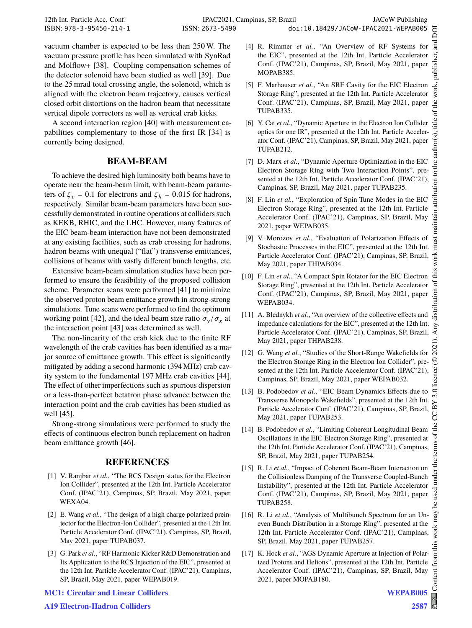and

work,

đ title

 $hor(s)$ .

to the aut

vacuum chamber is expected to be less than 250 W. The vacuum pressure profile has been simulated with SynRad and Molflow+ [38]. Coupling compensation schemes of the detector solenoid have been studied as well [39]. Due to the 25 mrad total crossing angle, the solenoid, which is aligned with the electron beam trajectory, causes vertical closed orbit distortions on the hadron beam that necessitate vertical dipole correctors as well as vertical crab kicks.

A second interaction region [40] with measurement capabilities complementary to those of the first IR [34] is currently being designed.

### **BEAM-BEAM**

To achieve the desired high luminosity both beams have to operate near the beam-beam limit, with beam-beam parameters of  $\xi_e = 0.1$  for electrons and  $\xi_h = 0.015$  for hadrons, respectively. Similar beam-beam parameters have been successfully demonstrated in routine operations at colliders such as KEKB, RHIC, and the LHC. However, many features of the EIC beam-beam interaction have not been demonstrated at any existing facilities, such as crab crossing for hadrons, hadron beams with unequal ("flat") transverse emittances, collisions of beams with vastly different bunch lengths, etc.

Extensive beam-beam simulation studies have been performed to ensure the feasibility of the proposed collision scheme. Parameter scans were performed [41] to minimize the observed proton beam emittance growth in strong-strong simulations. Tune scans were performed to find the optimum working point [42], and the ideal beam size ratio  $\sigma_y / \sigma_x$  at the interaction point [43] was determined as well.

The non-linearity of the crab kick due to the finite RF wavelength of the crab cavities has been identified as a major source of emittance growth. This effect is significantly mitigated by adding a second harmonic (394 MHz) crab cavity system to the fundamental 197 MHz crab cavities [44]. The effect of other imperfections such as spurious dispersion or a less-than-perfect betatron phase advance between the interaction point and the crab cavities has been studied as well [45].

Strong-strong simulations were performed to study the effects of continuous electron bunch replacement on hadron beam emittance growth [46].

## **REFERENCES**

- [1] V. Ranjbar et al., "The RCS Design status for the Electron Ion Collider", presented at the 12th Int. Particle Accelerator Conf. (IPAC'21), Campinas, SP, Brazil, May 2021, paper WEXA04.
- [2] E. Wang *et al.*, "The design of a high charge polarized preinjector for the Electron-Ion Collider", presented at the 12th Int. Particle Accelerator Conf. (IPAC'21), Campinas, SP, Brazil, May 2021, paper TUPAB037.
- [3] G. Park *et al.*, "RF Harmonic Kicker R&D Demonstration and Its Application to the RCS Injection of the EIC", presented at the 12th Int. Particle Accelerator Conf. (IPAC'21), Campinas, SP, Brazil, May 2021, paper WEPAB019.
- [4] R. Rimmer *et al.*, "An Overview of RF Systems for the EIC", presented at the 12th Int. Particle Accelerator publisher, Conf. (IPAC'21), Campinas, SP, Brazil, May 2021, paper MOPAB385.
- [5] F. Marhauser *et al.*, "An SRF Cavity for the EIC Electron Storage Ring", presented at the 12th Int. Particle Accelerator Conf. (IPAC'21), Campinas, SP, Brazil, May 2021, paper  $\overline{\mathbf{h}}$ e TUPAB335.
- [6] Y. Cai *et al.*, "Dynamic Aperture in the Electron Ion Collider optics for one IR", presented at the 12th Int. Particle Accelerator Conf. (IPAC'21), Campinas, SP, Brazil, May 2021, paper TUPAB212.
- [7] D. Marx *et al.*, "Dynamic Aperture Optimization in the EIC Electron Storage Ring with Two Interaction Points", presented at the 12th Int. Particle Accelerator Conf. (IPAC'21), Campinas, SP, Brazil, May 2021, paper TUPAB235.
- [8] F. Lin *et al.*, "Exploration of Spin Tune Modes in the EIC Electron Storage Ring", presented at the 12th Int. Particle Accelerator Conf. (IPAC'21), Campinas, SP, Brazil, May 2021, paper WEPAB035.
- [9] V. Morozov *et al.*, "Evaluation of Polarization Effects of Stochastic Processes in the EIC", presented at the 12th Int. Particle Accelerator Conf. (IPAC'21), Campinas, SP, Brazil, May 2021, paper THPAB034.
- [10] F. Lin *et al.*, "A Compact Spin Rotator for the EIC Electron Storage Ring", presented at the 12th Int. Particle Accelerator Conf. (IPAC'21), Campinas, SP, Brazil, May 2021, paper WEPAB034.
- [11] A. Blednykh et al., "An overview of the collective effects and impedance calculations for the EIC", presented at the 12th Int. Particle Accelerator Conf. (IPAC'21), Campinas, SP, Brazil, May 2021, paper THPAB238.
- [12] G. Wang *et al.*, "Studies of the Short-Range Wakefields for the Electron Storage Ring in the Electron Ion Collider", presented at the 12th Int. Particle Accelerator Conf. (IPAC'21), Campinas, SP, Brazil, May 2021, paper WEPAB032.
- [13] B. Podobedov *et al.*, "EIC Beam Dynamics Effects due to Transverse Monopole Wakefields", presented at the 12th Int. Particle Accelerator Conf. (IPAC'21), Campinas, SP, Brazil, May 2021, paper TUPAB253.
- [14] B. Podobedov *et al.*, "Limiting Coherent Longitudinal Beam Oscillations in the EIC Electron Storage Ring", presented at the 12th Int. Particle Accelerator Conf. (IPAC'21), Campinas, SP, Brazil, May 2021, paper TUPAB254.
- [15] R. Li et al., "Impact of Coherent Beam-Beam Interaction on the Collisionless Damping of the Transverse Coupled-Bunch Instability", presented at the 12th Int. Particle Accelerator Conf. (IPAC'21), Campinas, SP, Brazil, May 2021, paper TUPAB258.
- [16] R. Li *et al.*, "Analysis of Multibunch Spectrum for an Uneven Bunch Distribution in a Storage Ring", presented at the 12th Int. Particle Accelerator Conf. (IPAC'21), Campinas, SP, Brazil, May 2021, paper TUPAB257.
- [17] K. Hock *et al.*, "AGS Dynamic Aperture at Injection of Polarized Protons and Helions", presented at the 12th Int. Particle Accelerator Conf. (IPAC'21), Campinas, SP, Brazil, May 2021, paper MOPAB180.